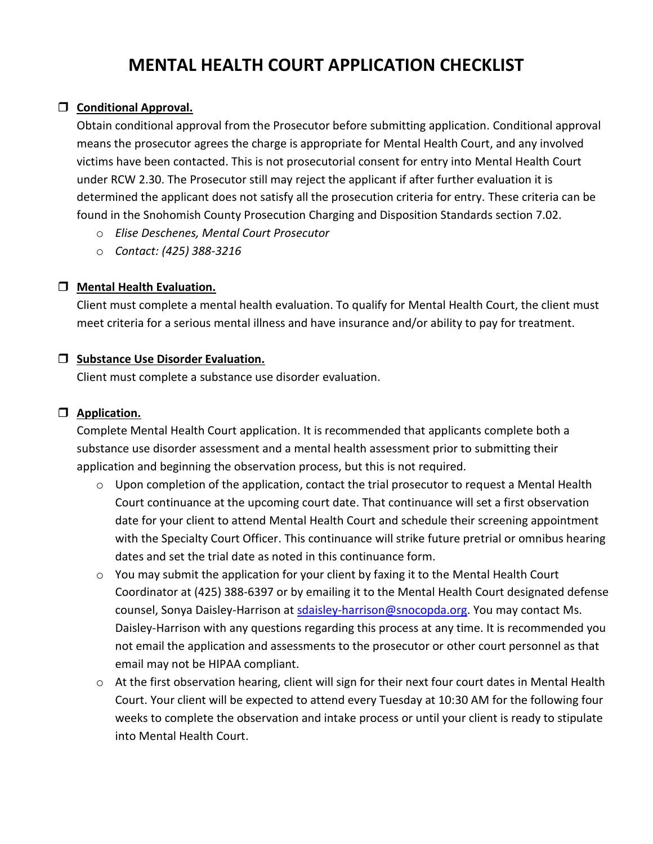# **MENTAL HEALTH COURT APPLICATION CHECKLIST**

## **Conditional Approval.**

Obtain conditional approval from the Prosecutor before submitting application. Conditional approval means the prosecutor agrees the charge is appropriate for Mental Health Court, and any involved victims have been contacted. This is not prosecutorial consent for entry into Mental Health Court under RCW 2.30. The Prosecutor still may reject the applicant if after further evaluation it is determined the applicant does not satisfy all the prosecution criteria for entry. These criteria can be found in the Snohomish County Prosecution Charging and Disposition Standards section 7.02.

- o *Elise Deschenes, Mental Court Prosecutor*
- o *Contact: (425) 388-3216*

#### **Mental Health Evaluation.**

Client must complete a mental health evaluation. To qualify for Mental Health Court, the client must meet criteria for a serious mental illness and have insurance and/or ability to pay for treatment.

#### **Substance Use Disorder Evaluation.**

Client must complete a substance use disorder evaluation.

## **Application.**

Complete Mental Health Court application. It is recommended that applicants complete both a substance use disorder assessment and a mental health assessment prior to submitting their application and beginning the observation process, but this is not required.

- $\circ$  Upon completion of the application, contact the trial prosecutor to request a Mental Health Court continuance at the upcoming court date. That continuance will set a first observation date for your client to attend Mental Health Court and schedule their screening appointment with the Specialty Court Officer. This continuance will strike future pretrial or omnibus hearing dates and set the trial date as noted in this continuance form.
- o You may submit the application for your client by faxing it to the Mental Health Court Coordinator at (425) 388-6397 or by emailing it to the Mental Health Court designated defense counsel, Sonya Daisley-Harrison at [sdaisley-harrison@snocopda.org.](mailto:sdaisley-harrison@snocopda.org) You may contact Ms. Daisley-Harrison with any questions regarding this process at any time. It is recommended you not email the application and assessments to the prosecutor or other court personnel as that email may not be HIPAA compliant.
- o At the first observation hearing, client will sign for their next four court dates in Mental Health Court. Your client will be expected to attend every Tuesday at 10:30 AM for the following four weeks to complete the observation and intake process or until your client is ready to stipulate into Mental Health Court.